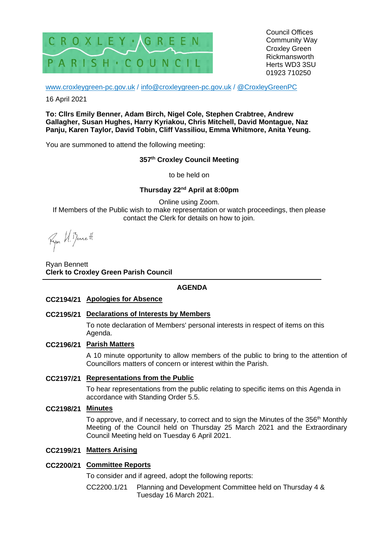

Council Offices Community Way Croxley Green Rickmansworth Herts WD3 3SU 01923 710250

[www.croxleygreen-pc.gov.uk](http://www.croxleygreen-pc.gov.uk/) / [info@croxleygreen-pc.gov.uk](mailto:info@croxleygreen-pc.gov.uk) / [@CroxleyGreenPC](https://twitter.com/CroxleyGreenPC)

16 April 2021

**To: Cllrs Emily Benner, Adam Birch, Nigel Cole, Stephen Crabtree, Andrew Gallagher, Susan Hughes, Harry Kyriakou, Chris Mitchell, David Montague, Naz Panju, Karen Taylor, David Tobin, Cliff Vassiliou, Emma Whitmore, Anita Yeung.**

You are summoned to attend the following meeting:

# **357 th Croxley Council Meeting**

to be held on

# **Thursday 22nd April at 8:00pm**

Online using Zoom. If Members of the Public wish to make representation or watch proceedings, then please contact the Clerk for details on how to join.

Fyon U. Benett

Ryan Bennett **Clerk to Croxley Green Parish Council**

#### **AGENDA**

- **CC2194/21 Apologies for Absence**
- **CC2195/21 Declarations of Interests by Members**

To note declaration of Members' personal interests in respect of items on this Agenda.

#### **CC2196/21 Parish Matters**

A 10 minute opportunity to allow members of the public to bring to the attention of Councillors matters of concern or interest within the Parish.

## **CC2197/21 Representations from the Public**

To hear representations from the public relating to specific items on this Agenda in accordance with Standing Order 5.5.

**CC2198/21 Minutes**

To approve, and if necessary, to correct and to sign the Minutes of the 356<sup>th</sup> Monthly Meeting of the Council held on Thursday 25 March 2021 and the Extraordinary Council Meeting held on Tuesday 6 April 2021.

#### **CC2199/21 Matters Arising**

# **CC2200/21 Committee Reports**

To consider and if agreed, adopt the following reports:

CC2200.1/21 Planning and Development Committee held on Thursday 4 & Tuesday 16 March 2021.